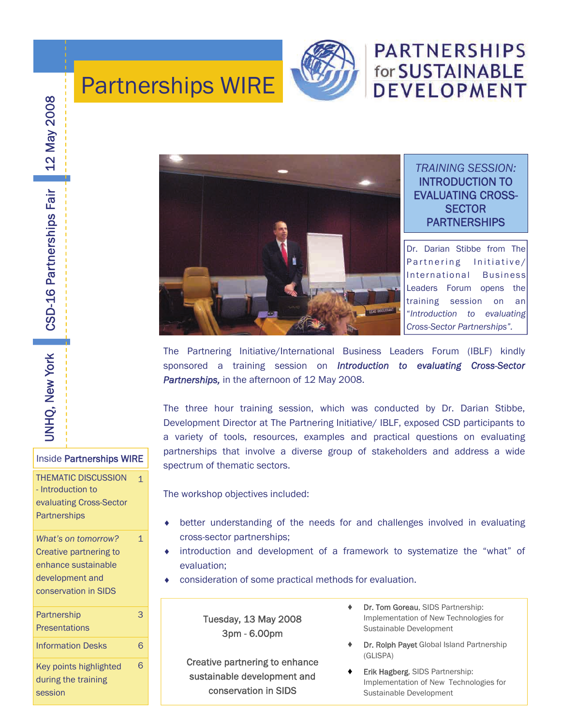

# **PARTNERSHIPS** for SUSTAINABLE **DEVELOPMENT**

# Partnerships WIRE



UNHQ, New York **UNHQ, New York** 

#### Inside Partnerships WIRE

1

THEMATIC DISCUSSION - Introduction to evaluating Cross-Sector **Partnerships** 

*What's on tomorrow?*  Creative partnering to enhance sustainable development and conservation in SIDS 1 **Partnership** 3



Key points highlighted during the training session 6



*TRAINING SESSION:*  INTRODUCTION TO EVALUATING CROSS-**SECTOR PARTNERSHIPS** 

Dr. Darian Stibbe from The Partnering Initiative/ International Business Leaders Forum opens the training session on an "*Introduction to evaluating Cross-Sector Partnerships".* 

The Partnering Initiative/International Business Leaders Forum (IBLF) kindly sponsored a training session on *Introduction to evaluating Cross-Sector Partnerships,* in the afternoon of 12 May 2008.

The three hour training session, which was conducted by Dr. Darian Stibbe, Development Director at The Partnering Initiative/ IBLF, exposed CSD participants to a variety of tools, resources, examples and practical questions on evaluating partnerships that involve a diverse group of stakeholders and address a wide spectrum of thematic sectors.

The workshop objectives included:

- better understanding of the needs for and challenges involved in evaluating cross-sector partnerships;
- introduction and development of a framework to systematize the "what" of evaluation;
- consideration of some practical methods for evaluation.

Tuesday, 13 May 2008 3pm - 6.00pm

Creative partnering to enhance sustainable development and conservation in SIDS

- ♦ Dr. Tom Goreau, SIDS Partnership: Implementation of New Technologies for Sustainable Development
- Dr. Rolph Payet Global Island Partnership (GLISPA)
- Erik Hagberg, SIDS Partnership: Implementation of New Technologies for Sustainable Development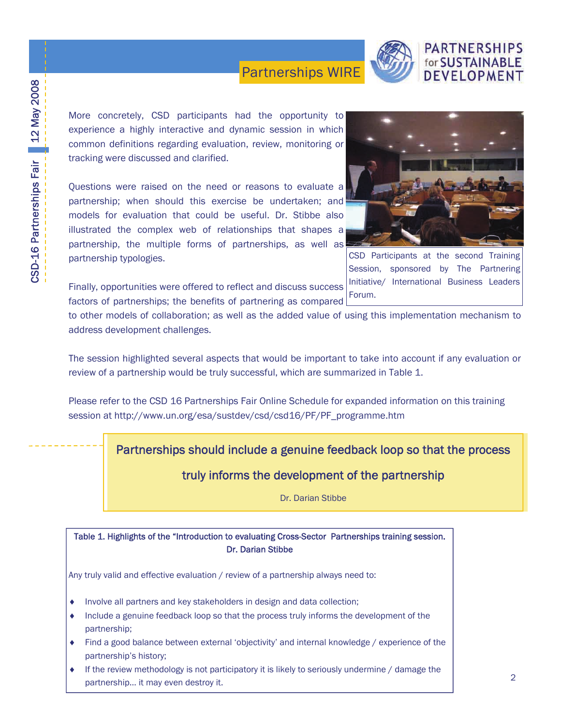

CSD Participants at the second Training Session, sponsored by The Partnering

**PARTNERSHIPS** for SUSTAINABLE DEVELOPMENT

More concretely, CSD participants had the opportunity to experience a highly interactive and dynamic session in which common definitions regarding evaluation, review, monitoring or tracking were discussed and clarified.

Questions were raised on the need or reasons to evaluate a partnership; when should this exercise be undertaken; and models for evaluation that could be useful. Dr. Stibbe also illustrated the complex web of relationships that shapes a partnership, the multiple forms of partnerships, as well as partnership typologies.

Finally, opportunities were offered to reflect and discuss success factors of partnerships; the benefits of partnering as compared Initiative/ International Business Leaders Forum.

to other models of collaboration; as well as the added value of using this implementation mechanism to address development challenges.

The session highlighted several aspects that would be important to take into account if any evaluation or review of a partnership would be truly successful, which are summarized in Table 1.

Please refer to the CSD 16 Partnerships Fair Online Schedule for expanded information on this training session at http://www.un.org/esa/sustdev/csd/csd16/PF/PF\_programme.htm

Partnerships should include a genuine feedback loop so that the process

truly informs the development of the partnership

Dr. Darian Stibbe

Table 1. Highlights of the "Introduction to evaluating Cross-Sector Partnerships training session. Dr. Darian Stibbe

Any truly valid and effective evaluation / review of a partnership always need to:

- Involve all partners and key stakeholders in design and data collection;
- ♦ Include a genuine feedback loop so that the process truly informs the development of the partnership;
- ♦ Find a good balance between external 'objectivity' and internal knowledge / experience of the partnership's history;
- ♦ If the review methodology is not participatory it is likely to seriously undermine / damage the partnership… it may even destroy it.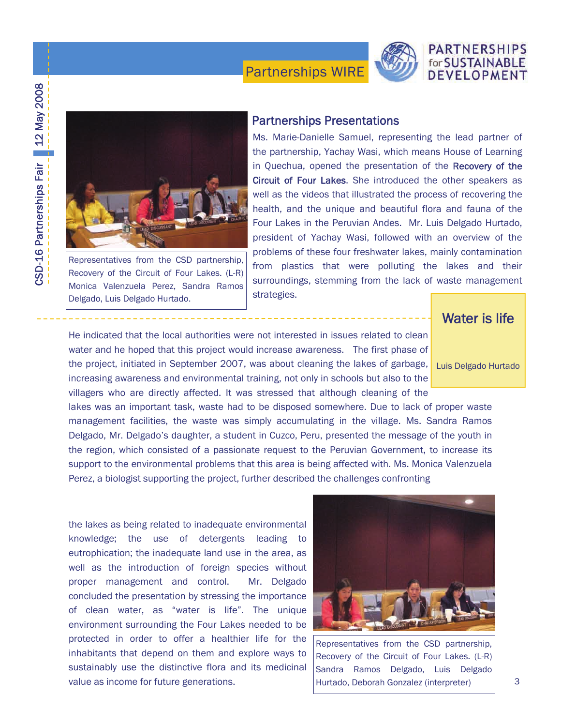

# CSD-16 Partnerships Fair 12 May 2008 CSD-16 Partnerships Fair 12 May 2008



Representatives from the CSD partnership, Recovery of the Circuit of Four Lakes. (L-R) Monica Valenzuela Perez, Sandra Ramos Delgado, Luis Delgado Hurtado.

#### Partnerships Presentations

Ms. Marie-Danielle Samuel, representing the lead partner of the partnership, Yachay Wasi, which means House of Learning in Quechua, opened the presentation of the Recovery of the Circuit of Four Lakes. She introduced the other speakers as well as the videos that illustrated the process of recovering the health, and the unique and beautiful flora and fauna of the Four Lakes in the Peruvian Andes. Mr. Luis Delgado Hurtado, president of Yachay Wasi, followed with an overview of the problems of these four freshwater lakes, mainly contamination from plastics that were polluting the lakes and their surroundings, stemming from the lack of waste management strategies.

He indicated that the local authorities were not interested in issues related to clean water and he hoped that this project would increase awareness. The first phase of the project, initiated in September 2007, was about cleaning the lakes of garbage, increasing awareness and environmental training, not only in schools but also to the

Perez, a biologist supporting the project, further described the challenges confronting

villagers who are directly affected. It was stressed that although cleaning of the lakes was an important task, waste had to be disposed somewhere. Due to lack of proper waste management facilities, the waste was simply accumulating in the village. Ms. Sandra Ramos Delgado, Mr. Delgado's daughter, a student in Cuzco, Peru, presented the message of the youth in the region, which consisted of a passionate request to the Peruvian Government, to increase its support to the environmental problems that this area is being affected with. Ms. Monica Valenzuela

the lakes as being related to inadequate environmental knowledge; the use of detergents leading to eutrophication; the inadequate land use in the area, as well as the introduction of foreign species without proper management and control. Mr. Delgado concluded the presentation by stressing the importance of clean water, as "water is life". The unique environment surrounding the Four Lakes needed to be protected in order to offer a healthier life for the inhabitants that depend on them and explore ways to sustainably use the distinctive flora and its medicinal value as income for future generations.



Representatives from the CSD partnership, Recovery of the Circuit of Four Lakes. (L-R) Sandra Ramos Delgado, Luis Delgado Hurtado, Deborah Gonzalez (interpreter)

### Water is life

**PARTNERSHIPS** for SUSTAINABLE DEVELOPMENT

Luis Delgado Hurtado

3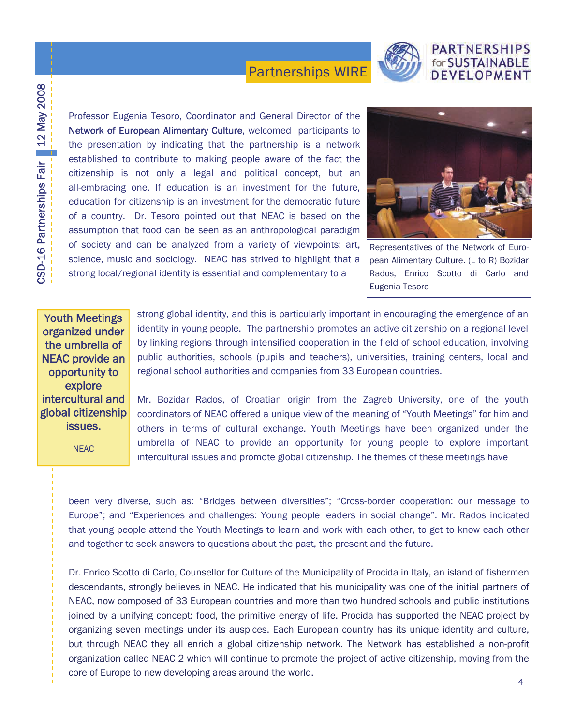

#### **PARTNERSHIPS** for SUSTAINABLE **DEVELOPMEN**

Professor Eugenia Tesoro, Coordinator and General Director of the Network of European Alimentary Culture, welcomed participants to the presentation by indicating that the partnership is a network established to contribute to making people aware of the fact the citizenship is not only a legal and political concept, but an all-embracing one. If education is an investment for the future, education for citizenship is an investment for the democratic future of a country. Dr. Tesoro pointed out that NEAC is based on the assumption that food can be seen as an anthropological paradigm of society and can be analyzed from a variety of viewpoints: art, science, music and sociology. NEAC has strived to highlight that a strong local/regional identity is essential and complementary to a



Representatives of the Network of European Alimentary Culture. (L to R) Bozidar Rados, Enrico Scotto di Carlo and Eugenia Tesoro

Youth Meetings organized under the umbrella of NEAC provide an opportunity to explore intercultural and global citizenship issues.

NEAC

strong global identity, and this is particularly important in encouraging the emergence of an identity in young people. The partnership promotes an active citizenship on a regional level by linking regions through intensified cooperation in the field of school education, involving public authorities, schools (pupils and teachers), universities, training centers, local and regional school authorities and companies from 33 European countries.

Mr. Bozidar Rados, of Croatian origin from the Zagreb University, one of the youth coordinators of NEAC offered a unique view of the meaning of "Youth Meetings" for him and others in terms of cultural exchange. Youth Meetings have been organized under the umbrella of NEAC to provide an opportunity for young people to explore important intercultural issues and promote global citizenship. The themes of these meetings have

been very diverse, such as: "Bridges between diversities"; "Cross-border cooperation: our message to Europe"; and "Experiences and challenges: Young people leaders in social change". Mr. Rados indicated that young people attend the Youth Meetings to learn and work with each other, to get to know each other and together to seek answers to questions about the past, the present and the future.

Dr. Enrico Scotto di Carlo, Counsellor for Culture of the Municipality of Procida in Italy, an island of fishermen descendants, strongly believes in NEAC. He indicated that his municipality was one of the initial partners of NEAC, now composed of 33 European countries and more than two hundred schools and public institutions joined by a unifying concept: food, the primitive energy of life. Procida has supported the NEAC project by organizing seven meetings under its auspices. Each European country has its unique identity and culture, but through NEAC they all enrich a global citizenship network. The Network has established a non-profit organization called NEAC 2 which will continue to promote the project of active citizenship, moving from the core of Europe to new developing areas around the world.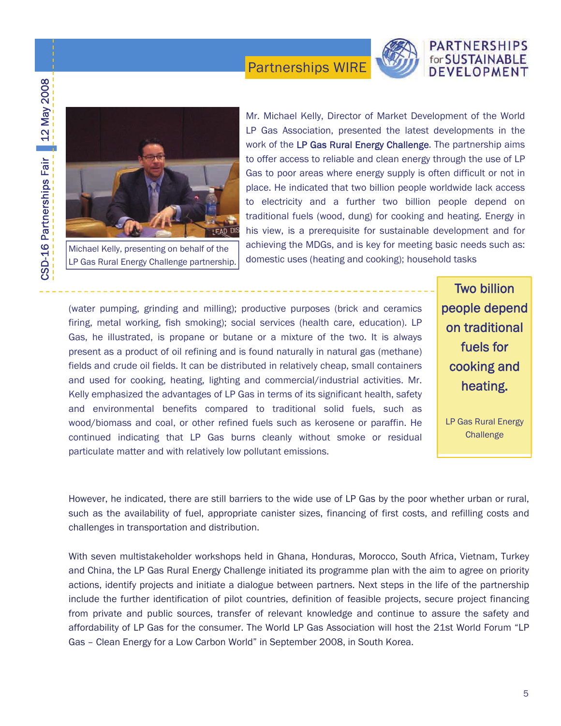

# CSD-16 Partnerships Fair 12 May 2008 CSD-16 Partnerships Fair 12 May 2008



Michael Kelly, presenting on behalf of the LP Gas Rural Energy Challenge partnership.

Mr. Michael Kelly, Director of Market Development of the World LP Gas Association, presented the latest developments in the work of the LP Gas Rural Energy Challenge. The partnership aims to offer access to reliable and clean energy through the use of LP Gas to poor areas where energy supply is often difficult or not in place. He indicated that two billion people worldwide lack access to electricity and a further two billion people depend on traditional fuels (wood, dung) for cooking and heating. Energy in his view, is a prerequisite for sustainable development and for achieving the MDGs, and is key for meeting basic needs such as: domestic uses (heating and cooking); household tasks

(water pumping, grinding and milling); productive purposes (brick and ceramics firing, metal working, fish smoking); social services (health care, education). LP Gas, he illustrated, is propane or butane or a mixture of the two. It is always present as a product of oil refining and is found naturally in natural gas (methane) fields and crude oil fields. It can be distributed in relatively cheap, small containers and used for cooking, heating, lighting and commercial/industrial activities. Mr. Kelly emphasized the advantages of LP Gas in terms of its significant health, safety and environmental benefits compared to traditional solid fuels, such as wood/biomass and coal, or other refined fuels such as kerosene or paraffin. He continued indicating that LP Gas burns cleanly without smoke or residual particulate matter and with relatively low pollutant emissions.

Two billion people depend on traditional fuels for cooking and heating.

LP Gas Rural Energy **Challenge** 

However, he indicated, there are still barriers to the wide use of LP Gas by the poor whether urban or rural, such as the availability of fuel, appropriate canister sizes, financing of first costs, and refilling costs and challenges in transportation and distribution.

With seven multistakeholder workshops held in Ghana, Honduras, Morocco, South Africa, Vietnam, Turkey and China, the LP Gas Rural Energy Challenge initiated its programme plan with the aim to agree on priority actions, identify projects and initiate a dialogue between partners. Next steps in the life of the partnership include the further identification of pilot countries, definition of feasible projects, secure project financing from private and public sources, transfer of relevant knowledge and continue to assure the safety and affordability of LP Gas for the consumer. The World LP Gas Association will host the 21st World Forum "LP Gas – Clean Energy for a Low Carbon World" in September 2008, in South Korea.